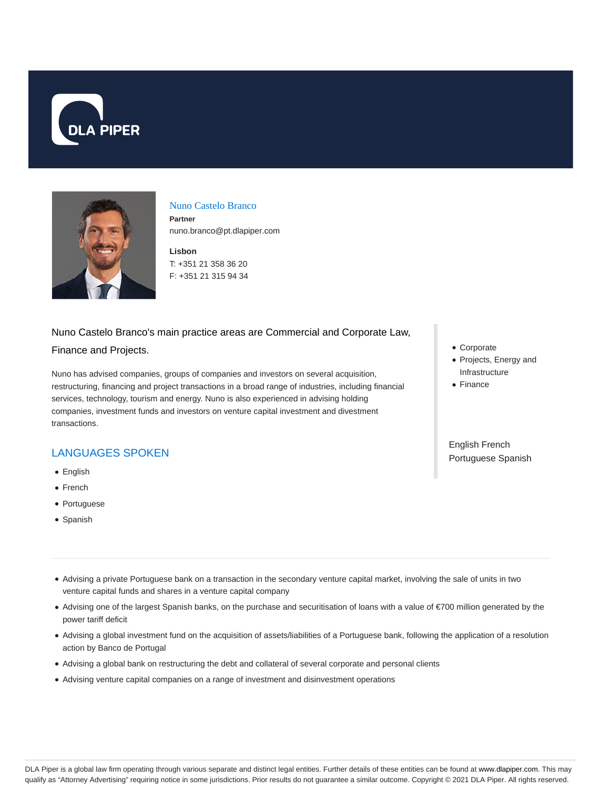



#### Nuno Castelo Branco

**Partner** nuno.branco@pt.dlapiper.com

**Lisbon** T: +351 21 358 36 20 F: +351 21 315 94 34

#### Nuno Castelo Branco's main practice areas are Commercial and Corporate Law,

#### Finance and Projects.

Nuno has advised companies, groups of companies and investors on several acquisition, restructuring, financing and project transactions in a broad range of industries, including financial services, technology, tourism and energy. Nuno is also experienced in advising holding companies, investment funds and investors on venture capital investment and divestment transactions.

## LANGUAGES SPOKEN

- English
- French
- Portuguese
- Spanish
- Corporate
- Projects, Energy and Infrastructure
- Finance

English French Portuguese Spanish

- Advising a private Portuguese bank on a transaction in the secondary venture capital market, involving the sale of units in two venture capital funds and shares in a venture capital company
- Advising one of the largest Spanish banks, on the purchase and securitisation of loans with a value of €700 million generated by the power tariff deficit
- Advising a global investment fund on the acquisition of assets/liabilities of a Portuguese bank, following the application of a resolution action by Banco de Portugal
- Advising a global bank on restructuring the debt and collateral of several corporate and personal clients
- Advising venture capital companies on a range of investment and disinvestment operations